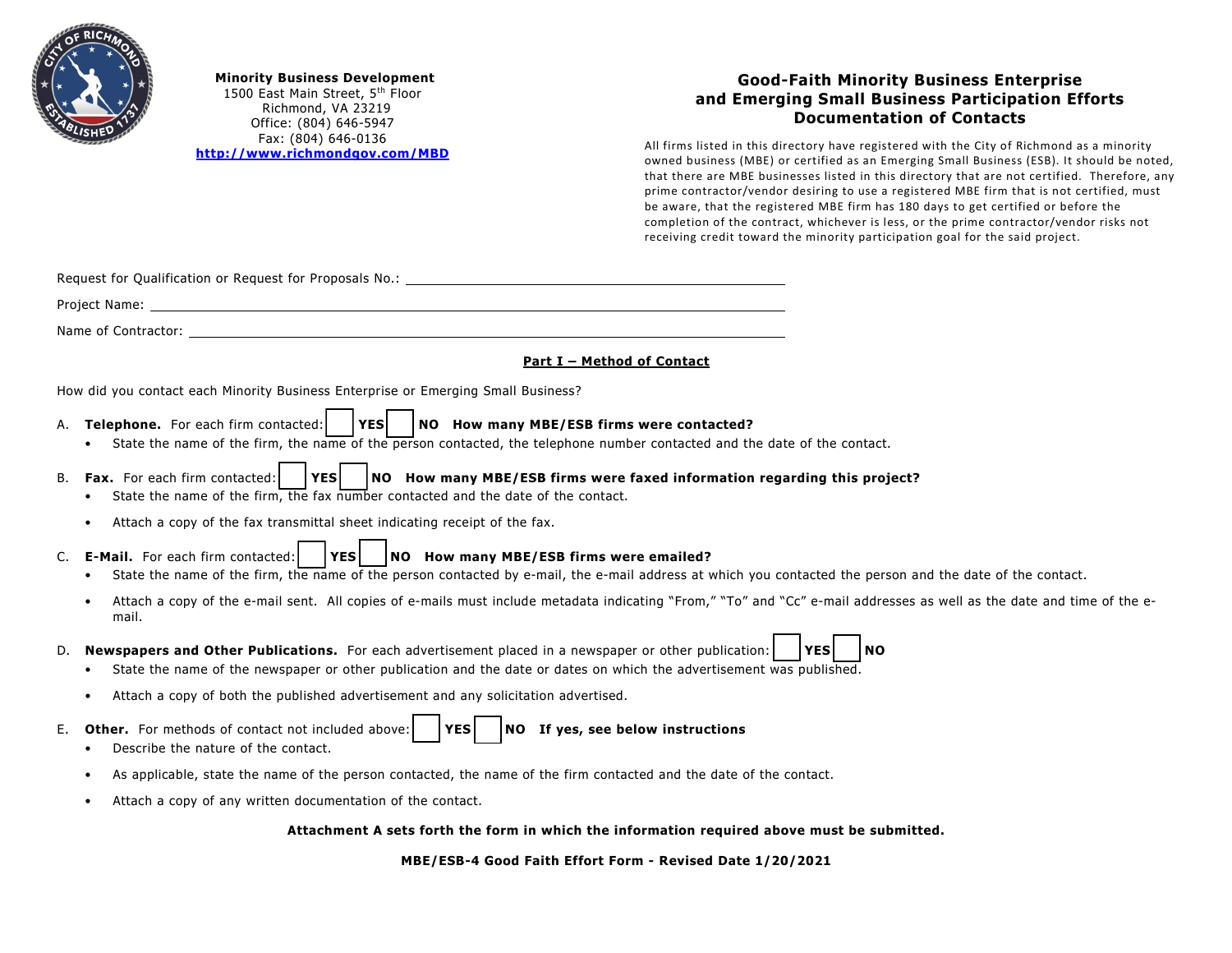

**Minority Business Development** 1500 East Main Street, 5<sup>th</sup> Floor Richmond, VA 23219 Office: (804) 646-5947 Fax: (804) 646-0136 **<http://www.richmondgov.com/MBD>**

## **Good-Faith Minority Business Enterprise and Emerging Small Business Participation Efforts Documentation of Contacts**

All firms listed in this directory have registered with the City of Richmond as a minority owned business (MBE) or certified as an Emerging Small Business (ESB). It should be noted, that there are MBE businesses listed in this directory that are not certified. Therefore, any prime contractor/vendor desiring to use a registered MBE firm that is not certified, must be aware, that the registered MBE firm has 180 days to get certified or before the completion of the contract, whichever is less, or the prime contractor/vendor risks not receiving credit toward the minority participation goal for the said project.

|  |  | Request for Qualification or Request for Proposals No.: |  |
|--|--|---------------------------------------------------------|--|
|  |  |                                                         |  |

Project Name: The contract of the contract of the contract of the contract of the contract of the contract of the contract of the contract of the contract of the contract of the contract of the contract of the contract of

Name of Contractor:

## **Part I – Method of Contact**

How did you contact each Minority Business Enterprise or Emerging Small Business?

- A. **Telephone.** For each firm contacted: **□ YES □ NO How many MBE/ESB firms were contacted?**
	- State the name of the firm, the name of the person contacted, the telephone number contacted and the date of the contact.
- B. **Fax.** For each firm contacted: **1988 NO How many MBE/ESB firms were faxed information regarding this project?**<br>• State the name of the firm, the fax number contacted and the date of the contact.
	- State the name of the firm, the fax number contacted and the date of the contact.
	- Attach a copy of the fax transmittal sheet indicating receipt of the fax.
- C. **E-Mail.** For each firm contacted: **UDIMERE FORM FIRM PROM HOW many MBE/ESB firms were emailed?<br>• State the name of the firm, the name of the person contacted by e-mail, the e-mail address at v** 
	- State the name of the firm, the name of the person contacted by e-mail, the e-mail address at which you contacted the person and the date of the contact.
	- Attach a copy of the e-mail sent. All copies of e-mails must include metadata indicating "From," "To" and "Cc" e-mail addresses as well as the date and time of the email.
- D. **Newspapers and Other Publications.** For each advertisement placed in a newspaper or other publication: **□ YES** │ NO **•** State the name of the newspaper or other publication and the date or dates on which the advertise
	- State the name of the newspaper or other publication and the date or dates on which the advertisement was published.
	- Attach a copy of both the published advertisement and any solicitation advertised.
- E. **Other.** For methods of contact not included above: **UPES | NO If yes, see below instructions**<br>• Describe the nature of the contact.
	- Describe the nature of the contact.
	- As applicable, state the name of the person contacted, the name of the firm contacted and the date of the contact.
	- Attach a copy of any written documentation of the contact.

## **Attachment A sets forth the form in which the information required above must be submitted.**

**MBE/ESB-4 Good Faith Effort Form - Revised Date 1/20/2021**